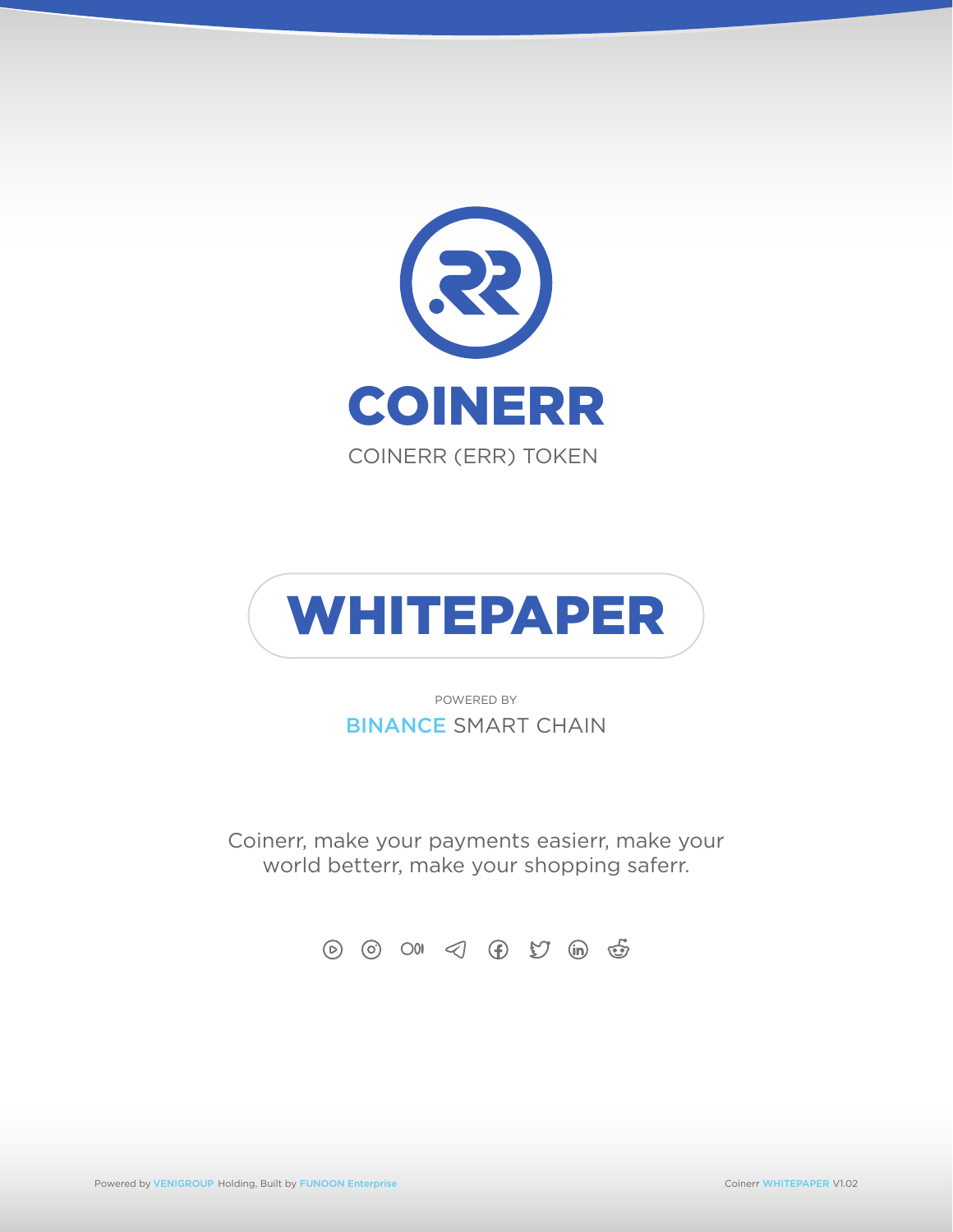



POWERED BY BINANCE SMART CHAIN

Coinerr, make your payments easierr, make your world betterr, make your shopping saferr.

⊙ ⊙ 00 ⊲ ⊕ 97 in ஞ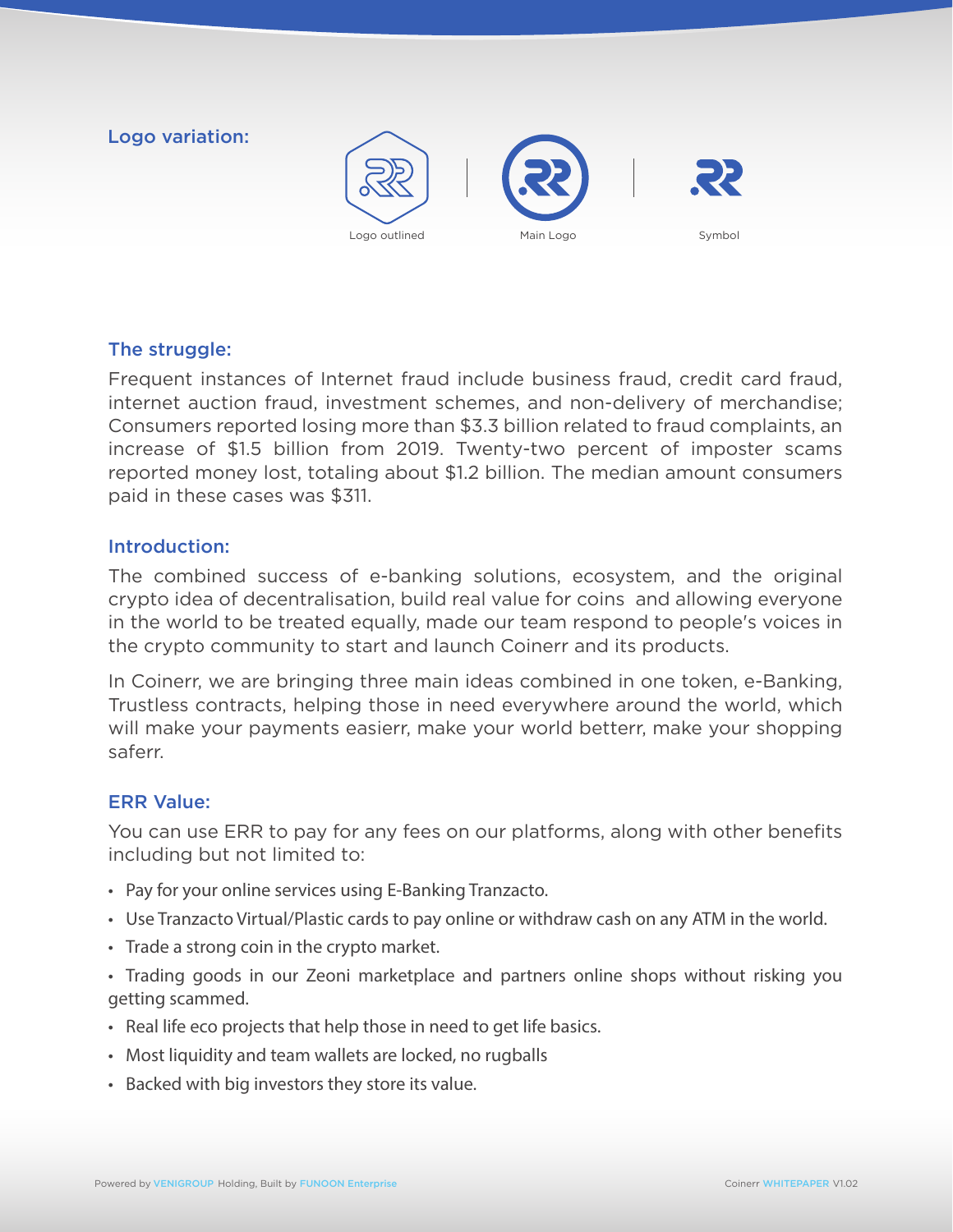# Logo variation:





Frequent instances of Internet fraud include business fraud, credit card fraud, internet auction fraud, investment schemes, and non-delivery of merchandise; Consumers reported losing more than \$3.3 billion related to fraud complaints, an increase of \$1.5 billion from 2019. Twenty-two percent of imposter scams reported money lost, totaling about \$1.2 billion. The median amount consumers paid in these cases was \$311.

### Introduction:

The combined success of e-banking solutions, ecosystem, and the original crypto idea of decentralisation, build real value for coins and allowing everyone in the world to be treated equally, made our team respond to people's voices in the crypto community to start and launch Coinerr and its products.

In Coinerr, we are bringing three main ideas combined in one token, e-Banking, Trustless contracts, helping those in need everywhere around the world, which will make your payments easierr, make your world betterr, make your shopping saferr.

# ERR Value:

You can use ERR to pay for any fees on our platforms, along with other benefits including but not limited to:

- Pay for your online services using E-Banking Tranzacto.
- Use Tranzacto Virtual/Plastic cards to pay online or withdraw cash on any ATM in the world.
- Trade a strong coin in the crypto market.
- Trading goods in our Zeoni marketplace and partners online shops without risking you getting scammed.
- Real life eco projects that help those in need to get life basics.
- Most liquidity and team wallets are locked, no rugballs
- Backed with big investors they store its value.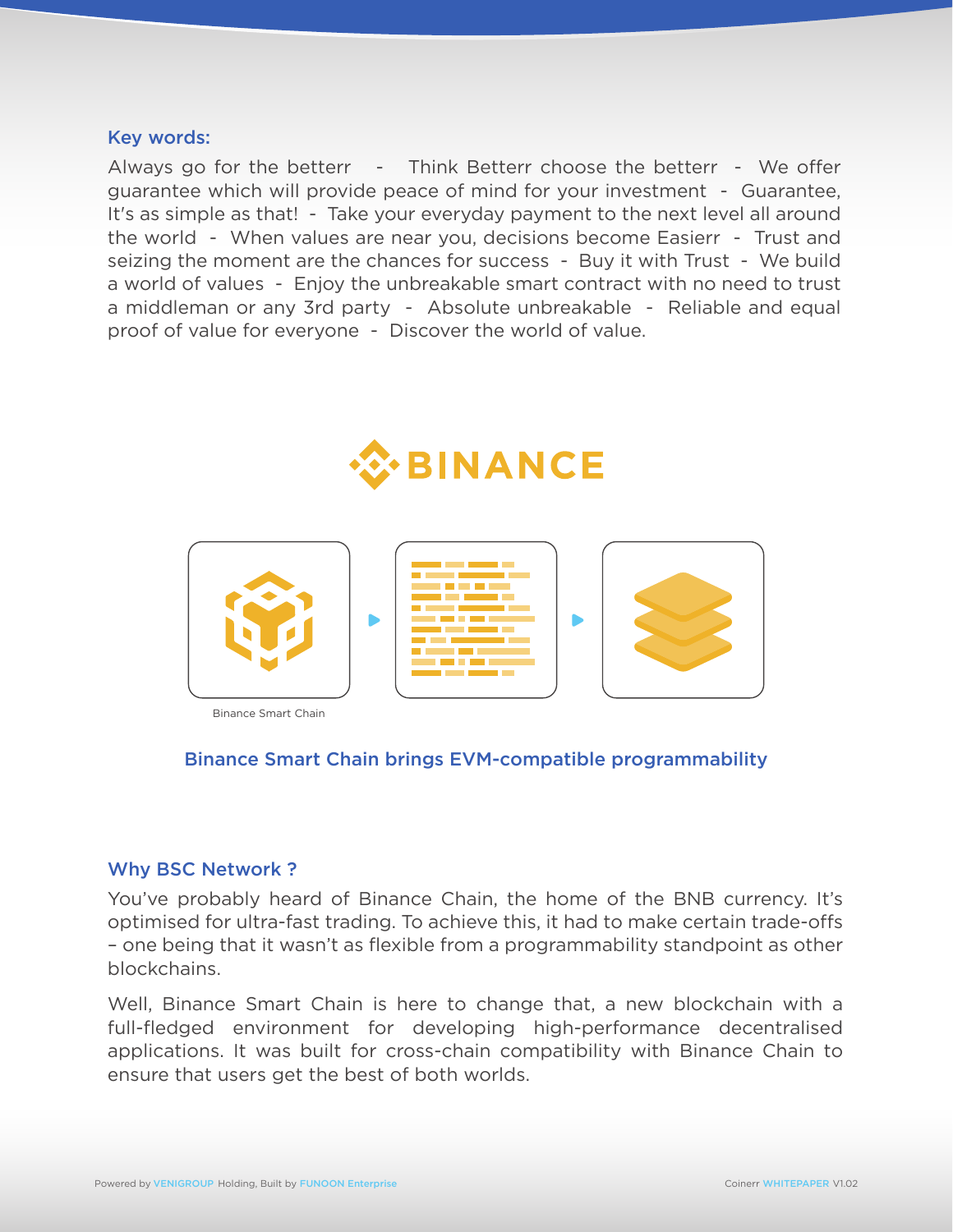#### Key words:

Always go for the betterr - Think Betterr choose the betterr - We offer guarantee which will provide peace of mind for your investment - Guarantee, It's as simple as that! - Take your everyday payment to the next level all around the world - When values are near you, decisions become Easierr - Trust and seizing the moment are the chances for success - Buy it with Trust - We build a world of values - Enjoy the unbreakable smart contract with no need to trust a middleman or any 3rd party - Absolute unbreakable - Reliable and equal proof of value for everyone - Discover the world of value.





Binance Smart Chain

### Binance Smart Chain brings EVM-compatible programmability

#### Why BSC Network ?

You've probably heard of Binance Chain, the home of the BNB currency. It's optimised for ultra-fast trading. To achieve this, it had to make certain trade-offs – one being that it wasn't as flexible from a programmability standpoint as other blockchains.

Well, Binance Smart Chain is here to change that, a new blockchain with a full-fledged environment for developing high-performance decentralised applications. It was built for cross-chain compatibility with Binance Chain to ensure that users get the best of both worlds.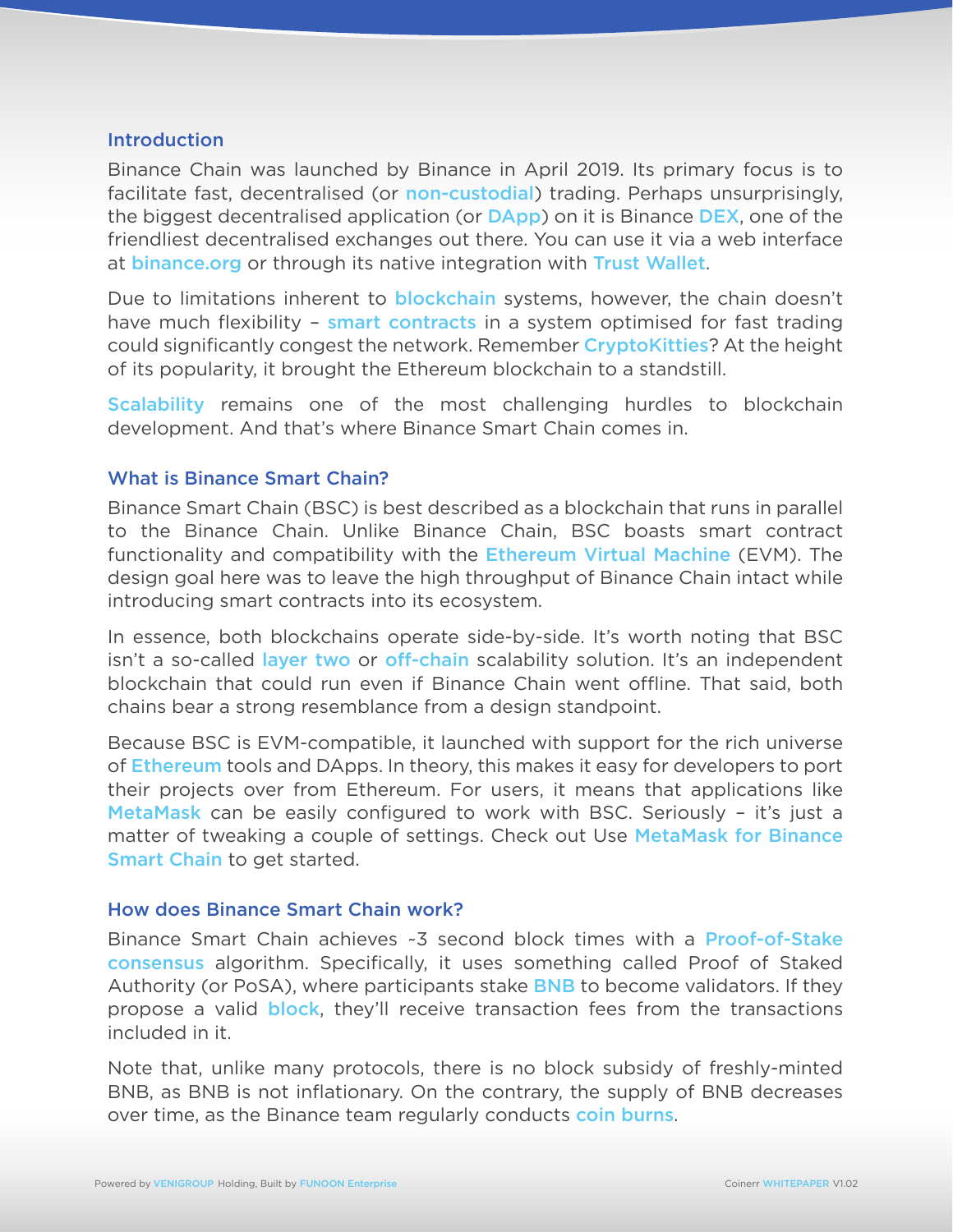#### Introduction

Binance Chain was launched by Binance in April 2019. Its primary focus is to facilitate fast, decentralised (or non-custodial) trading. Perhaps unsurprisingly, the biggest decentralised application (or **DApp)** on it is Binance **DEX**, one of the friendliest decentralised exchanges out there. You can use it via a web interface at binance.org or through its native integration with Trust Wallet.

Due to limitations inherent to **blockchain** systems, however, the chain doesn't have much flexibility – smart contracts in a system optimised for fast trading could significantly congest the network. Remember CryptoKitties? At the height of its popularity, it brought the Ethereum blockchain to a standstill.

Scalability remains one of the most challenging hurdles to blockchain development. And that's where Binance Smart Chain comes in.

### What is Binance Smart Chain?

Binance Smart Chain (BSC) is best described as a blockchain that runs in parallel to the Binance Chain. Unlike Binance Chain, BSC boasts smart contract functionality and compatibility with the **Ethereum Virtual Machine** (EVM). The design goal here was to leave the high throughput of Binance Chain intact while introducing smart contracts into its ecosystem.

In essence, both blockchains operate side-by-side. It's worth noting that BSC isn't a so-called layer two or off-chain scalability solution. It's an independent blockchain that could run even if Binance Chain went offline. That said, both chains bear a strong resemblance from a design standpoint.

Because BSC is EVM-compatible, it launched with support for the rich universe of Ethereum tools and DApps. In theory, this makes it easy for developers to port their projects over from Ethereum. For users, it means that applications like MetaMask can be easily configured to work with BSC. Seriously - it's just a matter of tweaking a couple of settings. Check out Use MetaMask for Binance Smart Chain to get started.

### How does Binance Smart Chain work?

Binance Smart Chain achieves ~3 second block times with a Proof-of-Stake consensus algorithm. Specifically, it uses something called Proof of Staked Authority (or PoSA), where participants stake **BNB** to become validators. If they propose a valid **block**, they'll receive transaction fees from the transactions included in it.

Note that, unlike many protocols, there is no block subsidy of freshly-minted BNB, as BNB is not inflationary. On the contrary, the supply of BNB decreases over time, as the Binance team regularly conducts **coin burns**.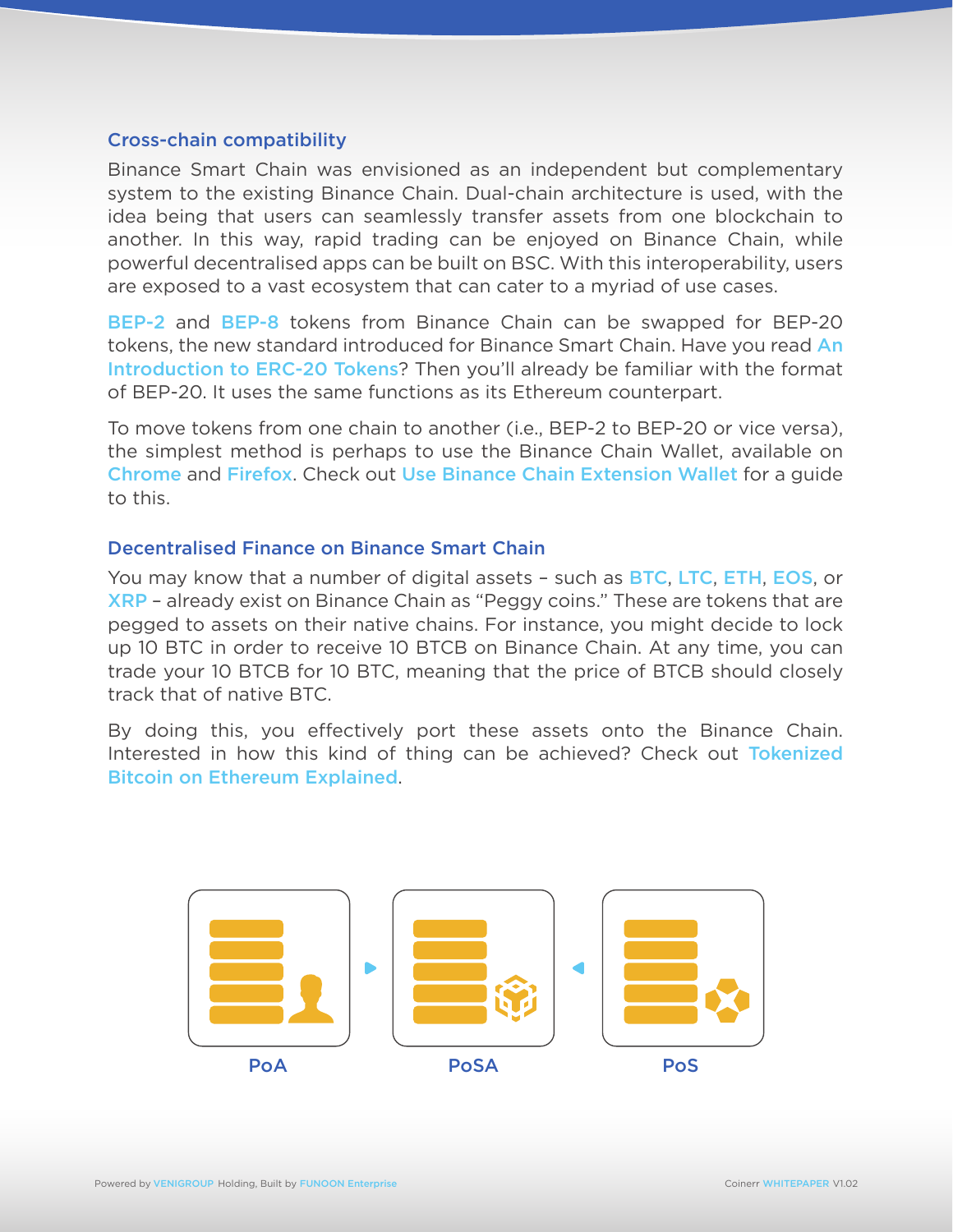### Cross-chain compatibility

Binance Smart Chain was envisioned as an independent but complementary system to the existing Binance Chain. Dual-chain architecture is used, with the idea being that users can seamlessly transfer assets from one blockchain to another. In this way, rapid trading can be enjoyed on Binance Chain, while powerful decentralised apps can be built on BSC. With this interoperability, users are exposed to a vast ecosystem that can cater to a myriad of use cases.

BEP-2 and BEP-8 tokens from Binance Chain can be swapped for BEP-20 tokens, the new standard introduced for Binance Smart Chain. Have you read An Introduction to ERC-20 Tokens? Then you'll already be familiar with the format of BEP-20. It uses the same functions as its Ethereum counterpart.

To move tokens from one chain to another (i.e., BEP-2 to BEP-20 or vice versa), the simplest method is perhaps to use the Binance Chain Wallet, available on Chrome and Firefox. Check out Use Binance Chain Extension Wallet for a guide to this.

### Decentralised Finance on Binance Smart Chain

You may know that a number of digital assets - such as BTC, LTC, ETH, EOS, or XRP – already exist on Binance Chain as "Peggy coins." These are tokens that are pegged to assets on their native chains. For instance, you might decide to lock up 10 BTC in order to receive 10 BTCB on Binance Chain. At any time, you can trade your 10 BTCB for 10 BTC, meaning that the price of BTCB should closely track that of native BTC.

By doing this, you effectively port these assets onto the Binance Chain. Interested in how this kind of thing can be achieved? Check out Tokenized Bitcoin on Ethereum Explained.

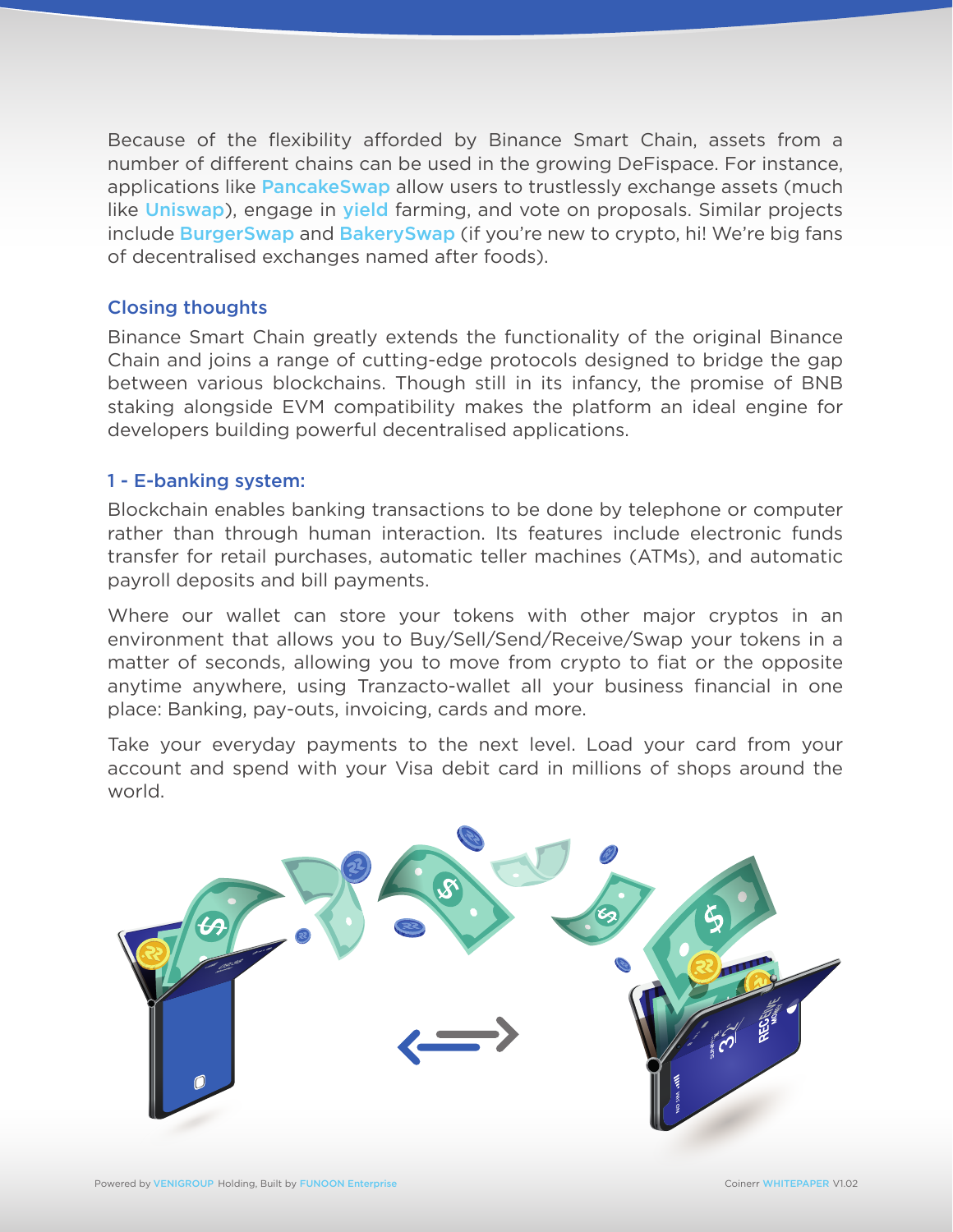Because of the flexibility afforded by Binance Smart Chain, assets from a number of different chains can be used in the growing DeFispace. For instance, applications like **PancakeSwap** allow users to trustlessly exchange assets (much like Uniswap), engage in yield farming, and vote on proposals. Similar projects include **BurgerSwap** and **BakerySwap** (if you're new to crypto, hi! We're big fans of decentralised exchanges named after foods).

# Closing thoughts

Binance Smart Chain greatly extends the functionality of the original Binance Chain and joins a range of cutting-edge protocols designed to bridge the gap between various blockchains. Though still in its infancy, the promise of BNB staking alongside EVM compatibility makes the platform an ideal engine for developers building powerful decentralised applications.

# 1 - E-banking system:

Blockchain enables banking transactions to be done by telephone or computer rather than through human interaction. Its features include electronic funds transfer for retail purchases, automatic teller machines (ATMs), and automatic payroll deposits and bill payments.

Where our wallet can store your tokens with other major cryptos in an environment that allows you to Buy/Sell/Send/Receive/Swap your tokens in a matter of seconds, allowing you to move from crypto to fiat or the opposite anytime anywhere, using Tranzacto-wallet all your business financial in one place: Banking, pay-outs, invoicing, cards and more.

Take your everyday payments to the next level. Load your card from your account and spend with your Visa debit card in millions of shops around the world.

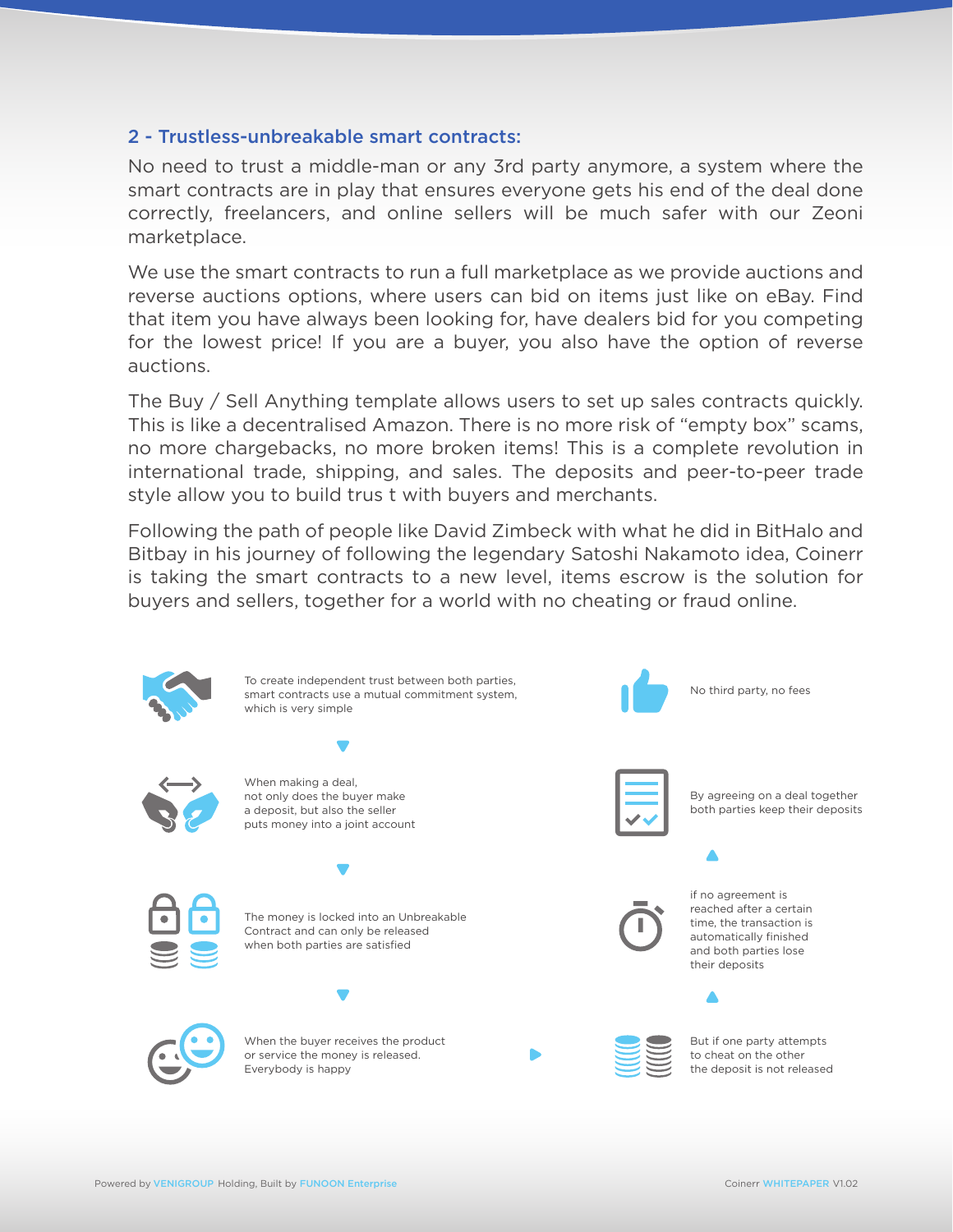### 2 - Trustless-unbreakable smart contracts:

No need to trust a middle-man or any 3rd party anymore, a system where the smart contracts are in play that ensures everyone gets his end of the deal done correctly, freelancers, and online sellers will be much safer with our Zeoni marketplace.

We use the smart contracts to run a full marketplace as we provide auctions and reverse auctions options, where users can bid on items just like on eBay. Find that item you have always been looking for, have dealers bid for you competing for the lowest price! If you are a buyer, you also have the option of reverse auctions.

The Buy / Sell Anything template allows users to set up sales contracts quickly. This is like a decentralised Amazon. There is no more risk of "empty box" scams, no more chargebacks, no more broken items! This is a complete revolution in international trade, shipping, and sales. The deposits and peer-to-peer trade style allow you to build trus t with buyers and merchants.

Following the path of people like David Zimbeck with what he did in BitHalo and Bitbay in his journey of following the legendary Satoshi Nakamoto idea, Coinerr is taking the smart contracts to a new level, items escrow is the solution for buyers and sellers, together for a world with no cheating or fraud online.

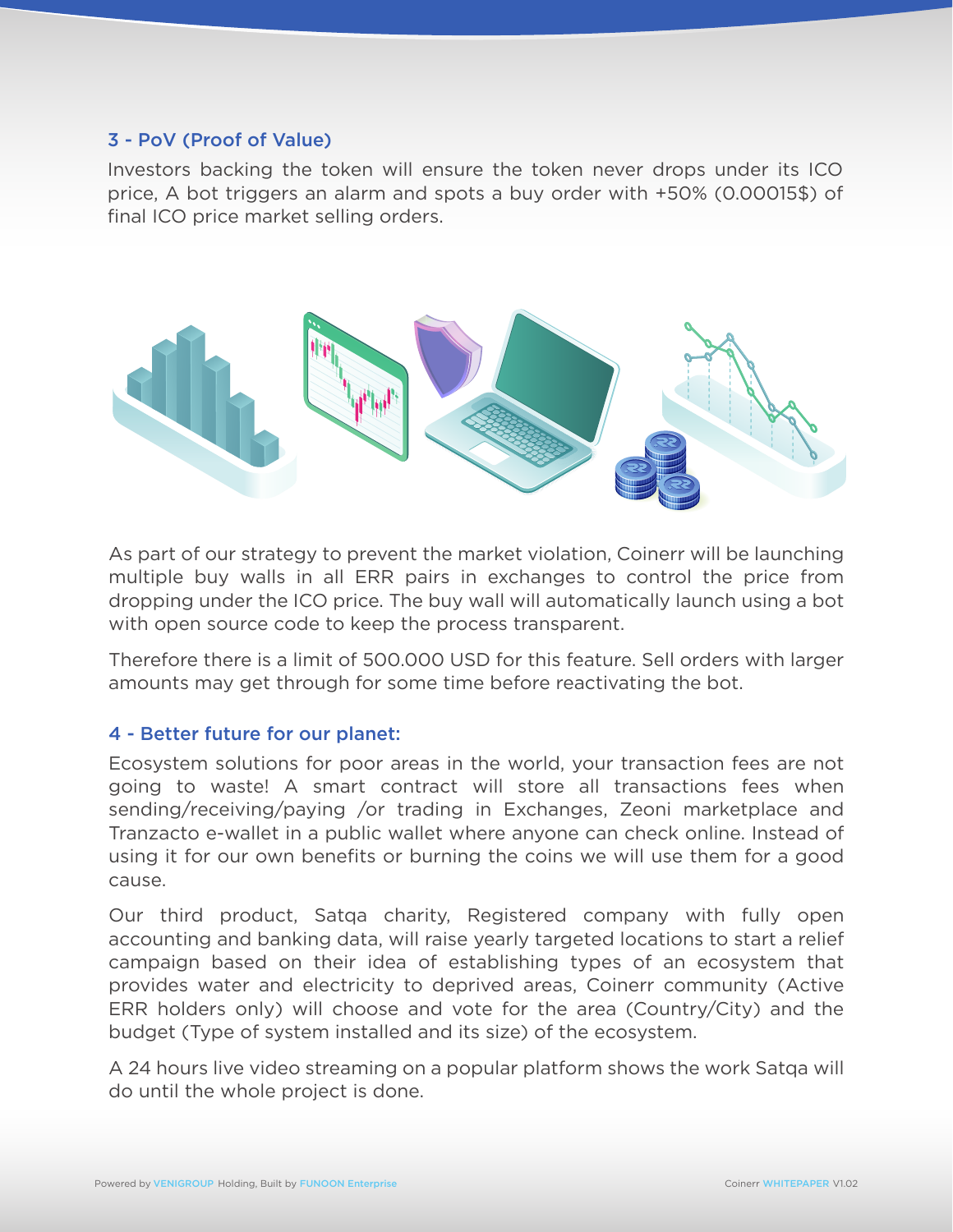### 3 - PoV (Proof of Value)

Investors backing the token will ensure the token never drops under its ICO price, A bot triggers an alarm and spots a buy order with +50% (0.00015\$) of final ICO price market selling orders.



As part of our strategy to prevent the market violation, Coinerr will be launching multiple buy walls in all ERR pairs in exchanges to control the price from dropping under the ICO price. The buy wall will automatically launch using a bot with open source code to keep the process transparent.

Therefore there is a limit of 500.000 USD for this feature. Sell orders with larger amounts may get through for some time before reactivating the bot.

# 4 - Better future for our planet:

Ecosystem solutions for poor areas in the world, your transaction fees are not going to waste! A smart contract will store all transactions fees when sending/receiving/paying /or trading in Exchanges, Zeoni marketplace and Tranzacto e-wallet in a public wallet where anyone can check online. Instead of using it for our own benefits or burning the coins we will use them for a good cause.

Our third product, Satqa charity, Registered company with fully open accounting and banking data, will raise yearly targeted locations to start a relief campaign based on their idea of establishing types of an ecosystem that provides water and electricity to deprived areas, Coinerr community (Active ERR holders only) will choose and vote for the area (Country/City) and the budget (Type of system installed and its size) of the ecosystem.

A 24 hours live video streaming on a popular platform shows the work Satqa will do until the whole project is done.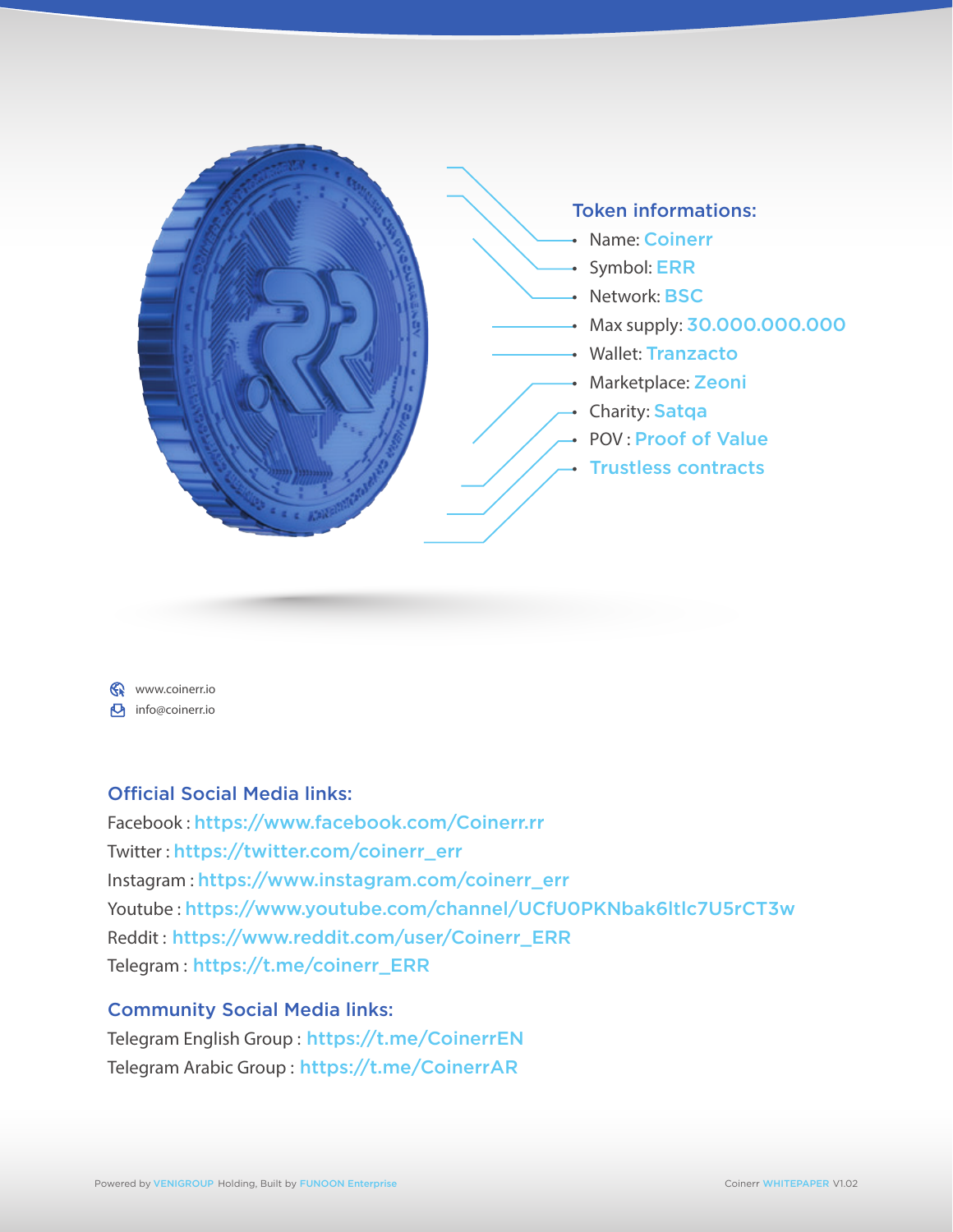

www.coinerr.io **b** info@coinerr.io

# Official Social Media links:

Facebook : https://www.facebook.com/Coinerr.rr Twitter : https://twitter.com/coinerr\_err Instagram : https://www.instagram.com/coinerr\_err Youtube : https://www.youtube.com/channel/UCfU0PKNbak6ltlc7U5rCT3w Reddit : https://www.reddit.com/user/Coinerr\_ERR Telegram : https://t.me/coinerr\_ERR

# Community Social Media links:

Telegram English Group : https://t.me/CoinerrEN Telegram Arabic Group : https://t.me/CoinerrAR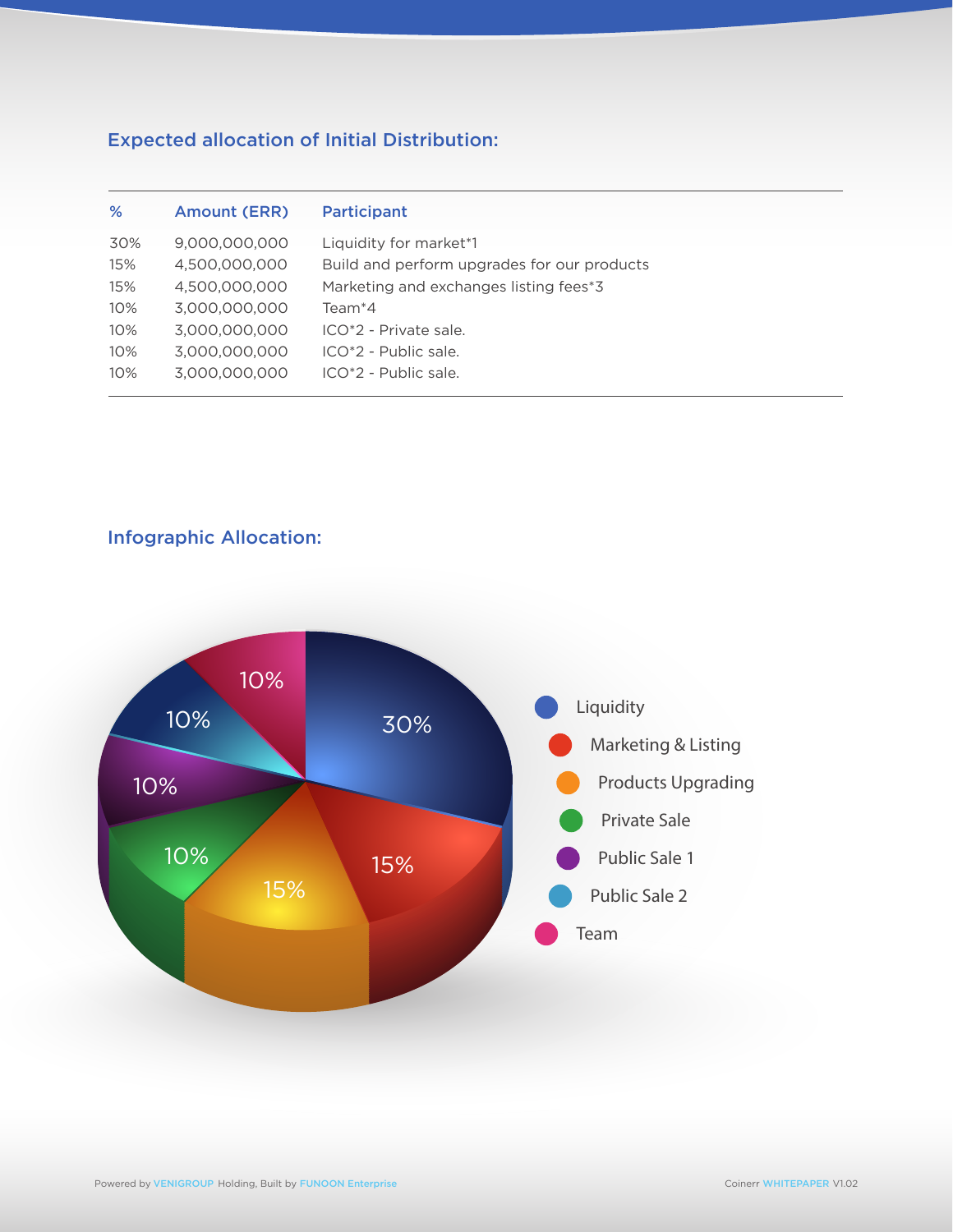# Expected allocation of Initial Distribution:

| Liquidity for market*1<br>30%<br>9,000,000,000<br>4.500.000.000<br>Build and perform upgrades for our products<br>15%<br>4,500,000,000<br>Marketing and exchanges listing fees*3<br>15%          |  |
|--------------------------------------------------------------------------------------------------------------------------------------------------------------------------------------------------|--|
| 3.000.000.000<br>10%<br>Team <sup>*</sup> 4<br>3.000.000.000<br>ICO*2 - Private sale.<br>10%<br>3,000,000,000<br>10%<br>$ICO*2 - Public sale.$<br>3.000.000.000<br>$ICO*2 - Public sale.$<br>10% |  |

# Infographic Allocation:

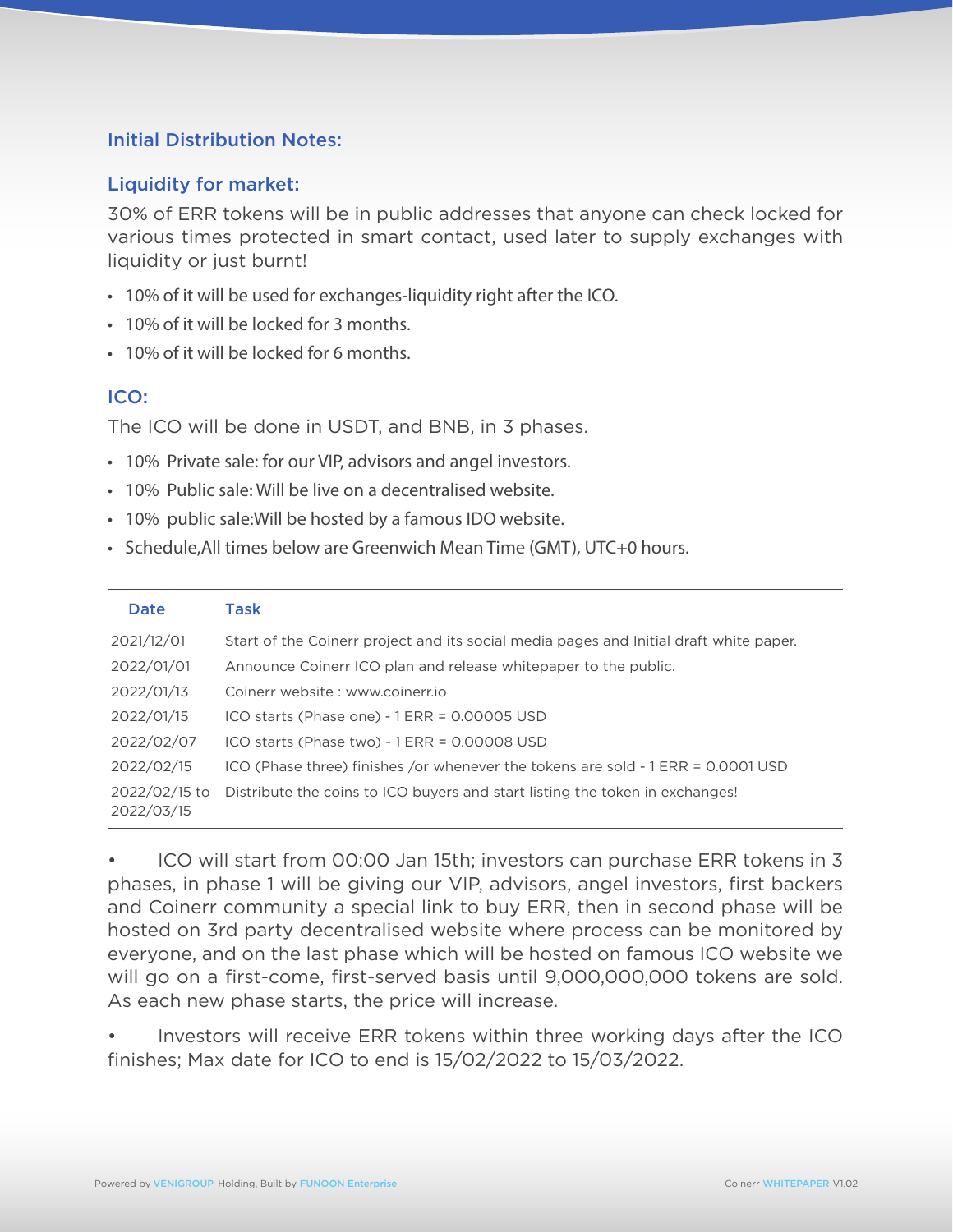# Initial Distribution Notes:

### Liquidity for market:

30% of ERR tokens will be in public addresses that anyone can check locked for various times protected in smart contact, used later to supply exchanges with liquidity or just burnt!

- 10% of it will be used for exchanges-liquidity right after the ICO.
- 10% of it will be locked for 3 months.
- 10% of it will be locked for 6 months.

# ICO:

The ICO will be done in USDT, and BNB, in 3 phases.

- 10% Private sale: for our VIP, advisors and angel investors.
- 10% Public sale: Will be live on a decentralised website.
- 10% public sale:Will be hosted by a famous IDO website.
- Schedule,All times below are Greenwich Mean Time (GMT), UTC+0 hours.

| Date                        | Task                                                                                   |
|-----------------------------|----------------------------------------------------------------------------------------|
| 2021/12/01                  | Start of the Coinerr project and its social media pages and Initial draft white paper. |
| 2022/01/01                  | Announce Coinerr ICO plan and release whitepaper to the public.                        |
| 2022/01/13                  | Coinerr website: www.coinerr.jo                                                        |
| 2022/01/15                  | ICO starts (Phase one) - 1 ERR = 0.00005 USD                                           |
| 2022/02/07                  | ICO starts (Phase two) - 1 ERR = 0.00008 USD                                           |
| 2022/02/15                  | ICO (Phase three) finishes /or whenever the tokens are sold - 1 ERR = 0.0001 USD       |
| 2022/02/15 to<br>2022/03/15 | Distribute the coins to ICO buyers and start listing the token in exchanges!           |

• ICO will start from 00:00 Jan 15th; investors can purchase ERR tokens in 3 phases, in phase 1 will be giving our VIP, advisors, angel investors, first backers and Coinerr community a special link to buy ERR, then in second phase will be hosted on 3rd party decentralised website where process can be monitored by everyone, and on the last phase which will be hosted on famous ICO website we will go on a first-come, first-served basis until 9,000,000,000 tokens are sold. As each new phase starts, the price will increase.

• Investors will receive ERR tokens within three working days after the ICO finishes; Max date for ICO to end is 15/02/2022 to 15/03/2022.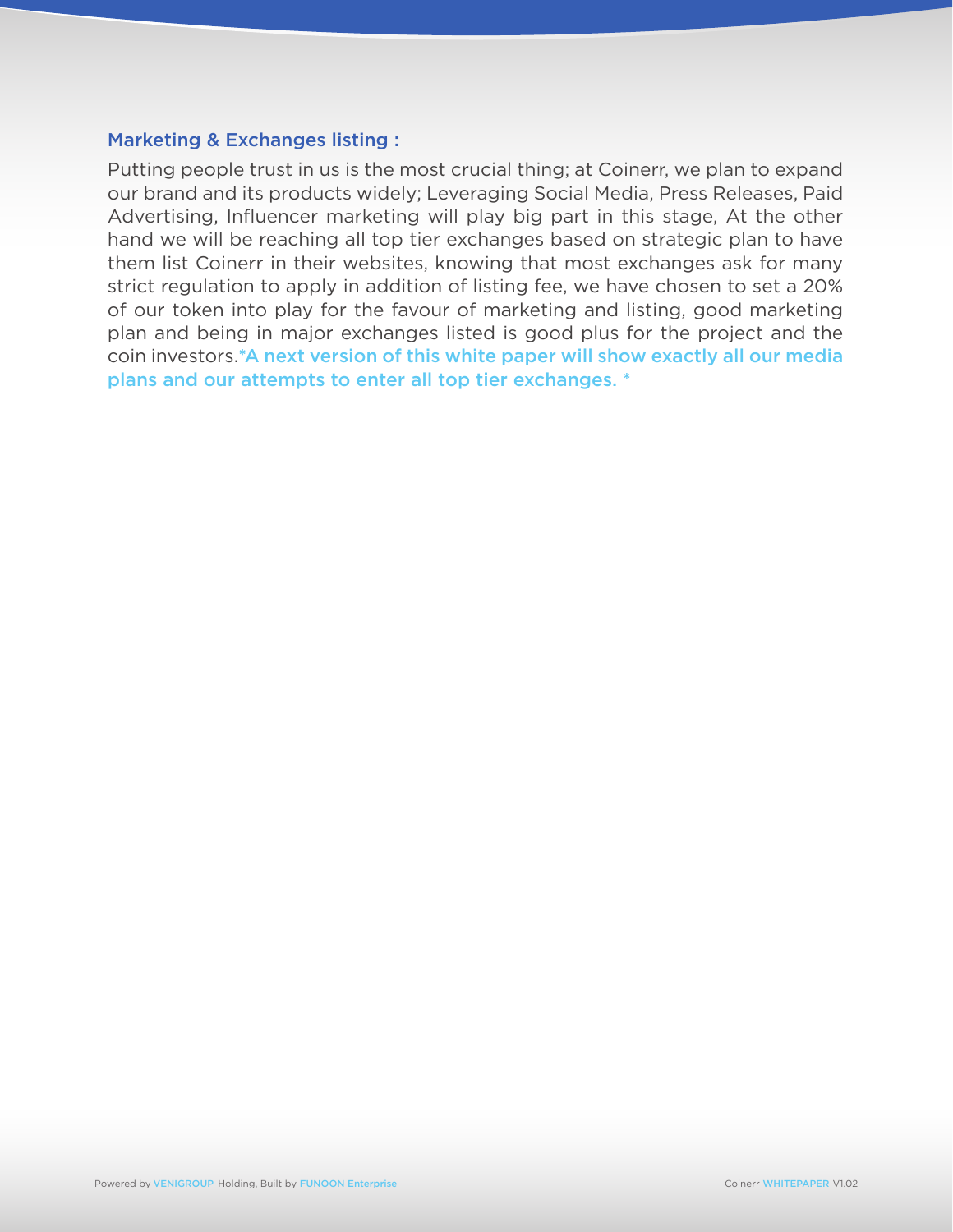### Marketing & Exchanges listing :

Putting people trust in us is the most crucial thing; at Coinerr, we plan to expand our brand and its products widely; Leveraging Social Media, Press Releases, Paid Advertising, Influencer marketing will play big part in this stage, At the other hand we will be reaching all top tier exchanges based on strategic plan to have them list Coinerr in their websites, knowing that most exchanges ask for many strict regulation to apply in addition of listing fee, we have chosen to set a 20% of our token into play for the favour of marketing and listing, good marketing plan and being in major exchanges listed is good plus for the project and the coin investors.\*A next version of this white paper will show exactly all our media plans and our attempts to enter all top tier exchanges. \*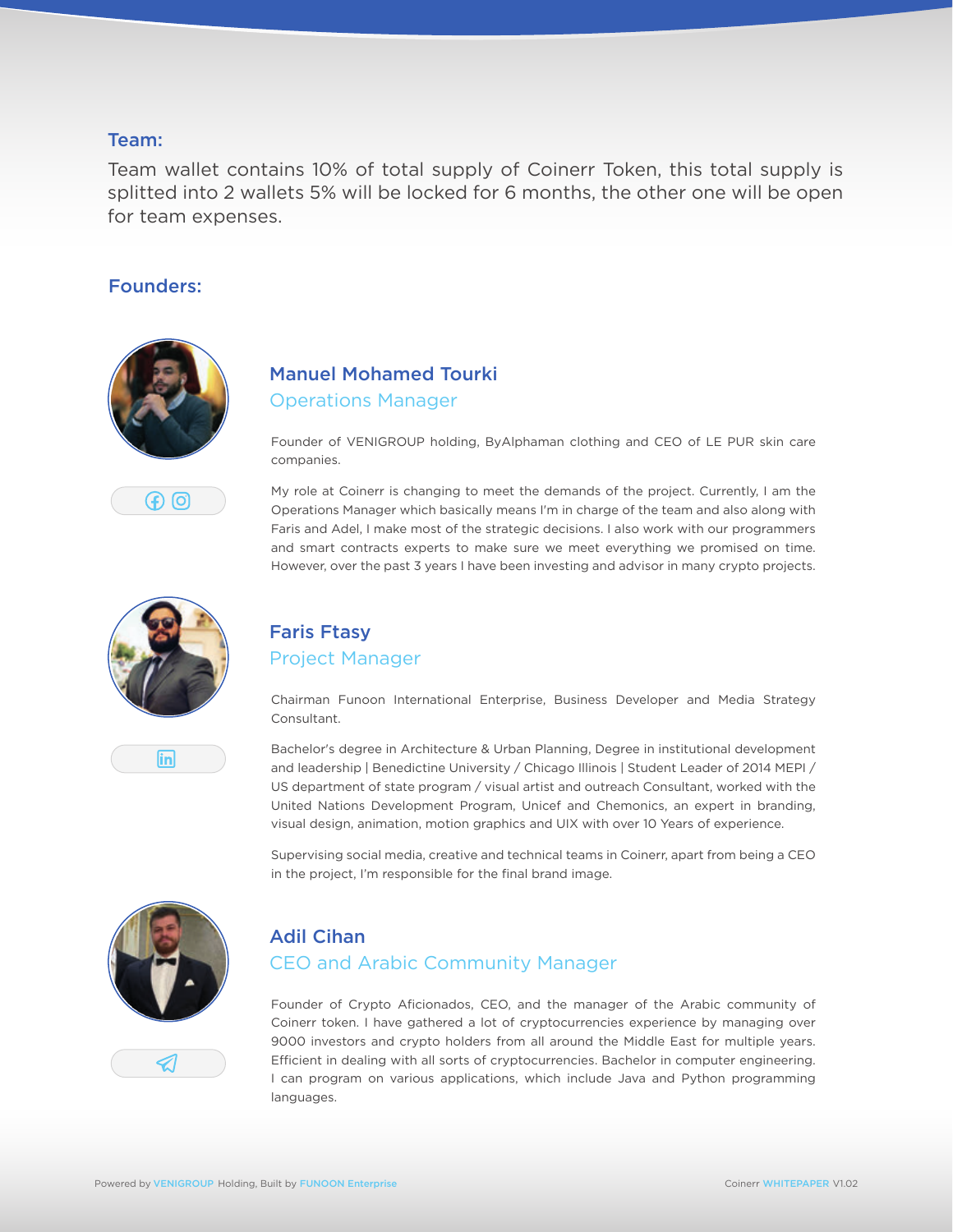#### Team:

Team wallet contains 10% of total supply of Coinerr Token, this total supply is splitted into 2 wallets 5% will be locked for 6 months, the other one will be open for team expenses.

### Founders:



F) (၁)

# Manuel Mohamed Tourki Operations Manager

Founder of VENIGROUP holding, ByAlphaman clothing and CEO of LE PUR skin care companies.

My role at Coinerr is changing to meet the demands of the project. Currently, I am the Operations Manager which basically means I'm in charge of the team and also along with Faris and Adel, I make most of the strategic decisions. I also work with our programmers and smart contracts experts to make sure we meet everything we promised on time. However, over the past 3 years I have been investing and advisor in many crypto projects.



in

# Faris Ftasy Project Manager

Chairman Funoon International Enterprise, Business Developer and Media Strategy Consultant.

Bachelor's degree in Architecture & Urban Planning, Degree in institutional development and leadership | Benedictine University / Chicago Illinois | Student Leader of 2014 MEPI / US department of state program / visual artist and outreach Consultant, worked with the United Nations Development Program, Unicef and Chemonics, an expert in branding, visual design, animation, motion graphics and UIX with over 10 Years of experience.

Supervising social media, creative and technical teams in Coinerr, apart from being a CEO in the project, I'm responsible for the final brand image.



# Adil Cihan CEO and Arabic Community Manager

Founder of Crypto Aficionados, CEO, and the manager of the Arabic community of Coinerr token. I have gathered a lot of cryptocurrencies experience by managing over 9000 investors and crypto holders from all around the Middle East for multiple years. Efficient in dealing with all sorts of cryptocurrencies. Bachelor in computer engineering. I can program on various applications, which include Java and Python programming languages.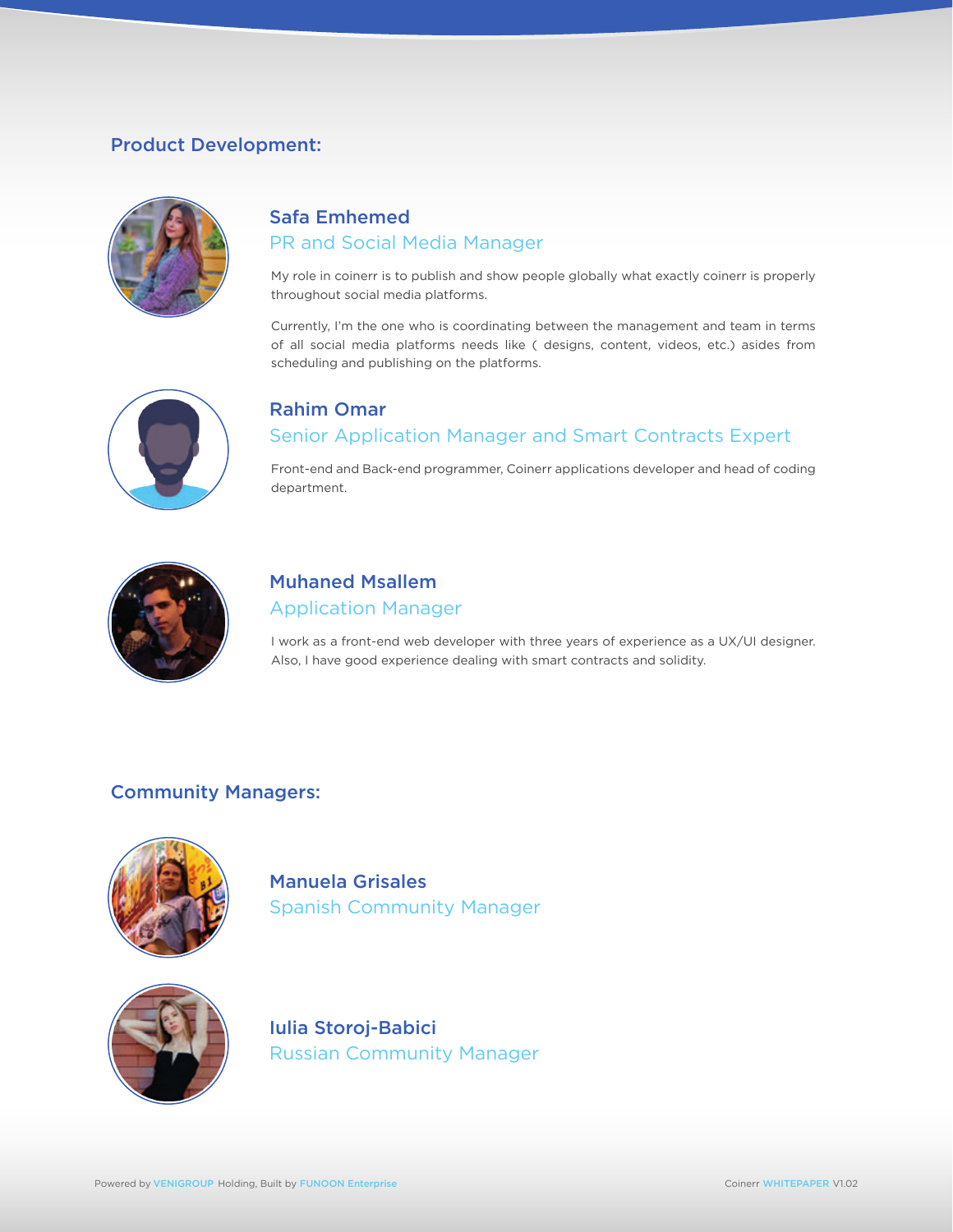# Product Development:



# Safa Emhemed PR and Social Media Manager

My role in coinerr is to publish and show people globally what exactly coinerr is properly throughout social media platforms.

Currently, I'm the one who is coordinating between the management and team in terms of all social media platforms needs like ( designs, content, videos, etc.) asides from scheduling and publishing on the platforms.



# Rahim Omar Senior Application Manager and Smart Contracts Expert

Front-end and Back-end programmer, Coinerr applications developer and head of coding department.



# Muhaned Msallem Application Manager

I work as a front-end web developer with three years of experience as a UX/UI designer. Also, I have good experience dealing with smart contracts and solidity.

# Community Managers:



Manuela Grisales Spanish Community Manager



Iulia Storoj-Babici Russian Community Manager